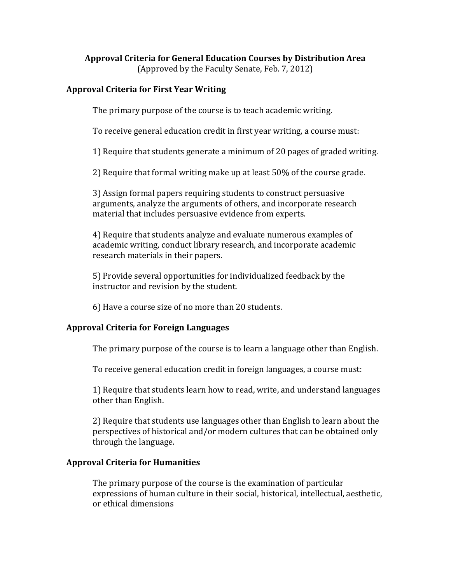# **Approval Criteria for General Education Courses by Distribution Area**

(Approved by the Faculty Senate, Feb. 7, 2012)

### **Approval Criteria for First Year Writing**

The primary purpose of the course is to teach academic writing.

To receive general education credit in first year writing, a course must:

1) Require that students generate a minimum of 20 pages of graded writing.

2) Require that formal writing make up at least 50% of the course grade.

3) Assign formal papers requiring students to construct persuasive arguments, analyze the arguments of others, and incorporate research material that includes persuasive evidence from experts.

4) Require that students analyze and evaluate numerous examples of academic writing, conduct library research, and incorporate academic research materials in their papers.

5) Provide several opportunities for individualized feedback by the instructor and revision by the student.

6) Have a course size of no more than 20 students.

# **Approval Criteria for Foreign Languages**

The primary purpose of the course is to learn a language other than English.

To receive general education credit in foreign languages, a course must:

1) Require that students learn how to read, write, and understand languages other than English.

2) Require that students use languages other than English to learn about the perspectives of historical and/or modern cultures that can be obtained only through the language.

#### **Approval Criteria for Humanities**

The primary purpose of the course is the examination of particular expressions of human culture in their social, historical, intellectual, aesthetic, or ethical dimensions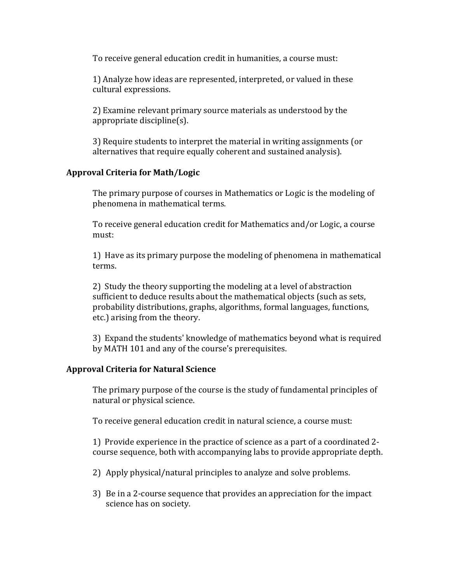To receive general education credit in humanities, a course must:

1) Analyze how ideas are represented, interpreted, or valued in these cultural expressions.

2) Examine relevant primary source materials as understood by the appropriate discipline(s).

3) Require students to interpret the material in writing assignments (or alternatives that require equally coherent and sustained analysis).

# **Approval Criteria for Math/Logic**

The primary purpose of courses in Mathematics or Logic is the modeling of phenomena in mathematical terms.

To receive general education credit for Mathematics and/or Logic, a course must:

1) Have as its primary purpose the modeling of phenomena in mathematical terms.

2) Study the theory supporting the modeling at a level of abstraction sufficient to deduce results about the mathematical objects (such as sets, probability distributions, graphs, algorithms, formal languages, functions, etc.) arising from the theory.

3) Expand the students' knowledge of mathematics beyond what is required by MATH 101 and any of the course's prerequisites.

#### **Approval Criteria for Natural Science**

The primary purpose of the course is the study of fundamental principles of natural or physical science.

To receive general education credit in natural science, a course must:

1) Provide experience in the practice of science as a part of a coordinated 2 course sequence, both with accompanying labs to provide appropriate depth.

- 2) Apply physical/natural principles to analyze and solve problems.
- 3) Be in a 2-course sequence that provides an appreciation for the impact science has on society.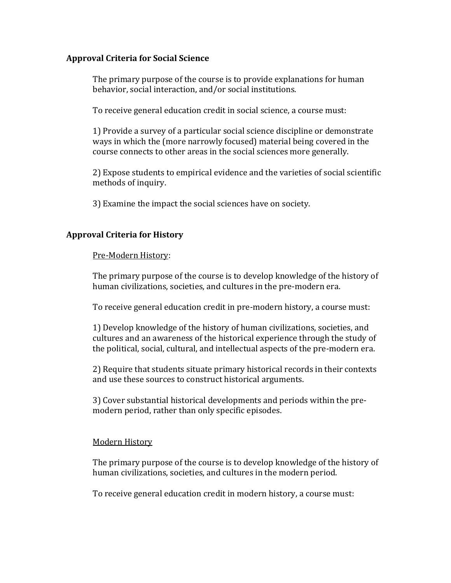### **Approval Criteria for Social Science**

The primary purpose of the course is to provide explanations for human behavior, social interaction, and/or social institutions.

To receive general education credit in social science, a course must:

1) Provide a survey of a particular social science discipline or demonstrate ways in which the (more narrowly focused) material being covered in the course connects to other areas in the social sciences more generally.

2) Expose students to empirical evidence and the varieties of social scientific methods of inquiry.

3) Examine the impact the social sciences have on society.

# **Approval Criteria for History**

#### Pre-Modern History:

The primary purpose of the course is to develop knowledge of the history of human civilizations, societies, and cultures in the pre-modern era.

To receive general education credit in pre-modern history, a course must:

1) Develop knowledge of the history of human civilizations, societies, and cultures and an awareness of the historical experience through the study of the political, social, cultural, and intellectual aspects of the pre-modern era.

2) Require that students situate primary historical records in their contexts and use these sources to construct historical arguments.

3) Cover substantial historical developments and periods within the premodern period, rather than only specific episodes.

# Modern History

The primary purpose of the course is to develop knowledge of the history of human civilizations, societies, and cultures in the modern period.

To receive general education credit in modern history, a course must: